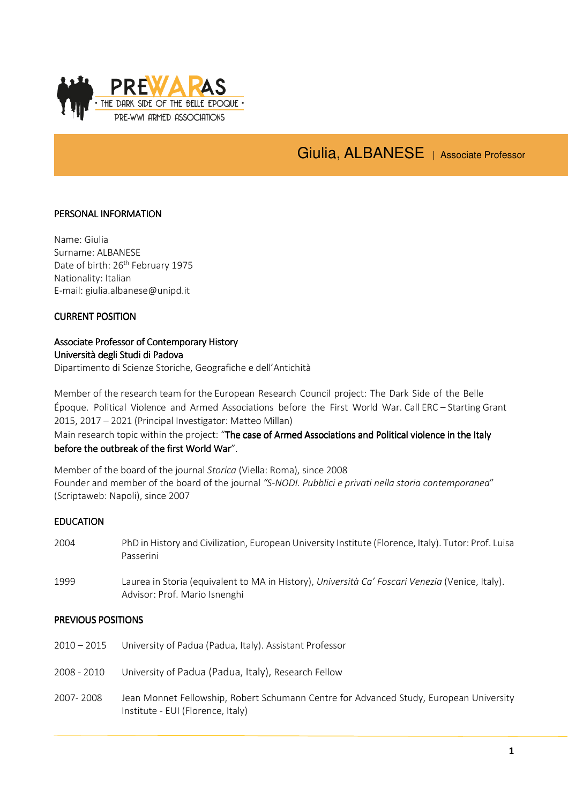

# Giulia, ALBANESE | Associate Professor

## PERSONAL INFORMATION

Name: Giulia Surname: ALBANESE Date of birth: 26<sup>th</sup> February 1975 Nationality: Italian E-mail: giulia.albanese@unipd.it

#### CURRENT POSITION

# Associate Professor of Contemporary History History Università degli Studi di Padova

Dipartimento di Scienze Storiche, Geografiche e dell'Antichità

Member of the research team for the European Research Council project: The Dark Side of the Belle Époque. Political Violence and Armed Associations before the First World War. Call ERC – Starting Grant 2015, 2017 – 2021 (Principal Investigator: Matteo Millan)

# Main research topic within the project: "The case of Armed Associations and Political violence in the Italy before the outbreak of the first World War".

Member of the board of the journal Storica (Viella: Roma), since 2008 Founder and member of the board of the journal "S-NODI. Pubblici e privati nella storia contemporanea" (Scriptaweb: Napoli), since 2007

#### **EDUCATION**

2004 PhD in History and Civilization, European University Institute (Florence, Italy). Tutor: Prof. Luisa Passerini 1999 Laurea in Storia (equivalent to MA in History), Università Ca' Foscari Venezia (Venice, Italy).

#### PREVIOUS POSITIONS

- 2010 2015 University of Padua (Padua, Italy). Assistant Professor
- 2008 2010 University of Padua (Padua, Italy), Research Fellow

Advisor: Prof. Mario Isnenghi

2007- 2008 Jean Monnet Fellowship, Robert Schumann Centre for Advanced Study, European University Institute - EUI (Florence, Italy)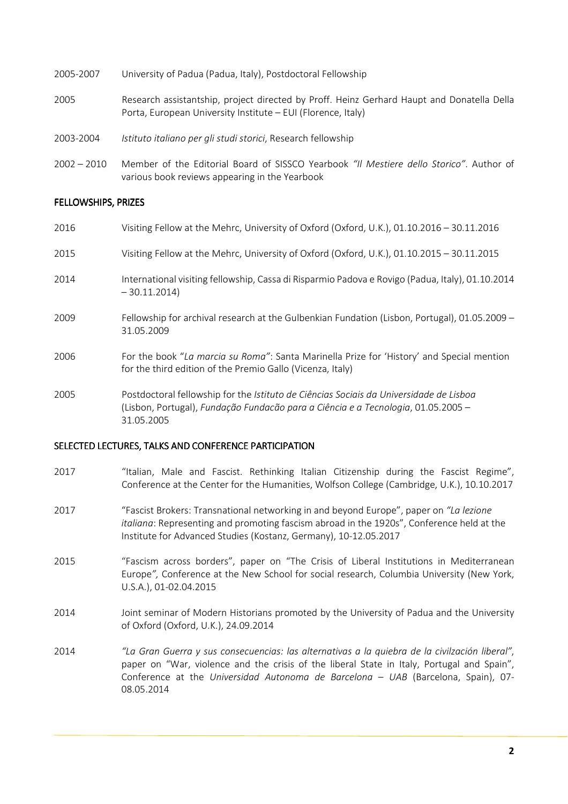| 2005-2007 | University of Padua (Padua, Italy), Postdoctoral Fellowship                                                                                                |
|-----------|------------------------------------------------------------------------------------------------------------------------------------------------------------|
| 2005      | Research assistantship, project directed by Proff. Heinz Gerhard Haupt and Donatella Della<br>Porta, European University Institute – EUI (Florence, Italy) |
| 2003-2004 | Istituto italiano per gli studi storici, Research fellowship                                                                                               |

2002 – 2010 Member of the Editorial Board of SISSCO Yearbook "Il Mestiere dello Storico". Author of various book reviews appearing in the Yearbook

## FELLOWSHIPS, PRIZES

- 2016 Visiting Fellow at the Mehrc, University of Oxford (Oxford, U.K.), 01.10.2016 30.11.2016 2015 Visiting Fellow at the Mehrc, University of Oxford (Oxford, U.K.), 01.10.2015 – 30.11.2015 2014 International visiting fellowship, Cassa di Risparmio Padova e Rovigo (Padua, Italy), 01.10.2014 – 30.11.2014) 2009 Fellowship for archival research at the Gulbenkian Fundation (Lisbon, Portugal), 01.05.2009 – 31.05.2009 2006 For the book "La marcia su Roma": Santa Marinella Prize for 'History' and Special mention for the third edition of the Premio Gallo (Vicenza, Italy)
- 2005 Postdoctoral fellowship for the Istituto de Ciências Sociais da Universidade de Lisboa (Lisbon, Portugal), Fundação Fundacão para a Ciência e a Tecnologia, 01.05.2005 – 31.05.2005

#### SELECTED LECTURES, TALKS AND CONFERENCE PARTICIPATION

- 2017 "Italian, Male and Fascist. Rethinking Italian Citizenship during the Fascist Regime", Conference at the Center for the Humanities, Wolfson College (Cambridge, U.K.), 10.10.2017
- 2017 "Fascist Brokers: Transnational networking in and beyond Europe", paper on "La lezione" italiana: Representing and promoting fascism abroad in the 1920s", Conference held at the Institute for Advanced Studies (Kostanz, Germany), 10-12.05.2017
- 2015 "Fascism across borders", paper on "The Crisis of Liberal Institutions in Mediterranean Europe", Conference at the New School for social research, Columbia University (New York, U.S.A.), 01-02.04.2015
- 2014 Joint seminar of Modern Historians promoted by the University of Padua and the University of Oxford (Oxford, U.K.), 24.09.2014
- 2014 "La Gran Guerra y sus consecuencias: las alternativas a la quiebra de la civilzación liberal", paper on "War, violence and the crisis of the liberal State in Italy, Portugal and Spain", Conference at the Universidad Autonoma de Barcelona – UAB (Barcelona, Spain), 07- 08.05.2014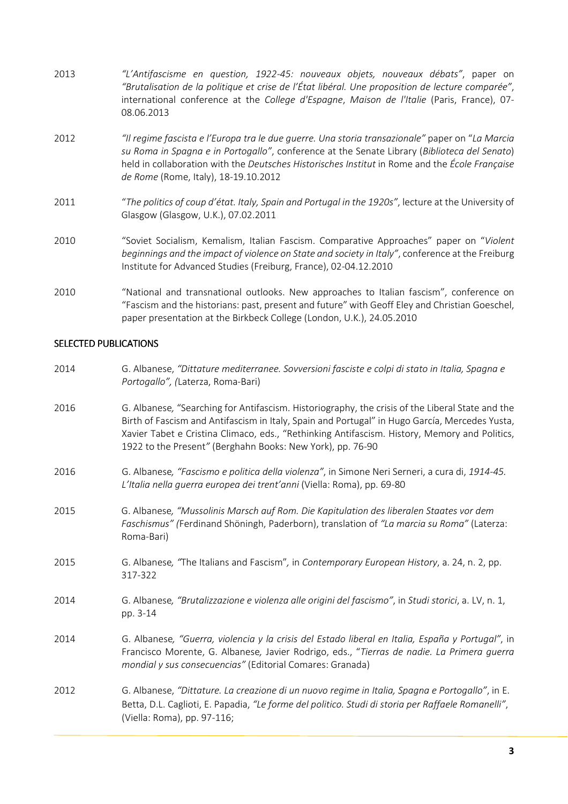- 2013 "L'Antifascisme en question, 1922-45: nouveaux objets, nouveaux débats", paper on "Brutalisation de la politique et crise de l'État libéral. Une proposition de lecture comparée", international conference at the College d'Espagne, Maison de l'Italie (Paris, France), 07-08.06.2013 2012 "Il regime fascista e l'Europa tra le due guerre. Una storia transazionale" paper on "La Marcia su Roma in Spagna e in Portogallo", conference at the Senate Library (Biblioteca del Senato) held in collaboration with the Deutsches Historisches Institut in Rome and the École Française de Rome (Rome, Italy), 18-19.10.2012 2011 "The politics of coup d'état. Italy, Spain and Portugal in the 1920s", lecture at the University of Glasgow (Glasgow, U.K.), 07.02.2011 2010 "Soviet Socialism, Kemalism, Italian Fascism. Comparative Approaches" paper on "Violent beginnings and the impact of violence on State and society in Italy", conference at the Freiburg Institute for Advanced Studies (Freiburg, France), 02-04.12.2010
- 2010 "National and transnational outlooks. New approaches to Italian fascism", conference on "Fascism and the historians: past, present and future" with Geoff Eley and Christian Goeschel, paper presentation at the Birkbeck College (London, U.K.), 24.05.2010

## SELECTED PUBLICATIONS

- 2014 G. Albanese, "Dittature mediterranee. Sovversioni fasciste e colpi di stato in Italia, Spagna e Portogallo", (Laterza, Roma-Bari)
- 2016 G. Albanese, "Searching for Antifascism. Historiography, the crisis of the Liberal State and the Birth of Fascism and Antifascism in Italy, Spain and Portugal" in Hugo García, Mercedes Yusta, Xavier Tabet e Cristina Climaco, eds., "Rethinking Antifascism. History, Memory and Politics, 1922 to the Present" (Berghahn Books: New York), pp. 76-90
- 2016 G. Albanese, "Fascismo e politica della violenza", in Simone Neri Serneri, a cura di, 1914-45. L'Italia nella guerra europea dei trent'anni (Viella: Roma), pp. 69-80
- 2015 G. Albanese, "Mussolinis Marsch auf Rom. Die Kapitulation des liberalen Staates vor dem Faschismus" (Ferdinand Shöningh, Paderborn), translation of "La marcia su Roma" (Laterza: Roma-Bari)
- 2015 G. Albanese, "The Italians and Fascism", in Contemporary European History, a. 24, n. 2, pp. 317-322
- 2014 G. Albanese, "Brutalizzazione e violenza alle origini del fascismo", in Studi storici, a. LV, n. 1, pp. 3-14
- 2014 G. Albanese, "Guerra, violencia y la crisis del Estado liberal en Italia, España y Portugal", in Francisco Morente, G. Albanese, Javier Rodrigo, eds., "Tierras de nadie. La Primera guerra mondial y sus consecuencias" (Editorial Comares: Granada)
- 2012 G. Albanese, "Dittature. La creazione di un nuovo regime in Italia, Spagna e Portogallo", in E. Betta, D.L. Caglioti, E. Papadia, "Le forme del politico. Studi di storia per Raffaele Romanelli", (Viella: Roma), pp. 97-116;